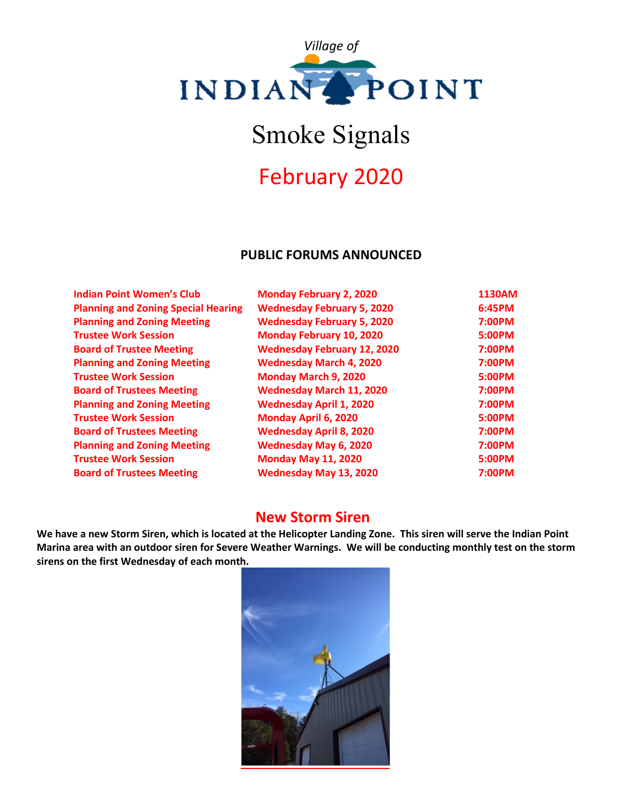

# Smoke Signals

# February 2020

### **PUBLIC FORUMS ANNOUNCED**

| <b>Indian Point Women's Club</b>           | <b>Monday February 2, 2020</b>     | 1130AM |
|--------------------------------------------|------------------------------------|--------|
| <b>Planning and Zoning Special Hearing</b> | <b>Wednesday February 5, 2020</b>  | 6:45PM |
| <b>Planning and Zoning Meeting</b>         | <b>Wednesday February 5, 2020</b>  | 7:00PM |
| <b>Trustee Work Session</b>                | <b>Monday February 10, 2020</b>    | 5:00PM |
| <b>Board of Trustee Meeting</b>            | <b>Wednesday February 12, 2020</b> | 7:00PM |
| <b>Planning and Zoning Meeting</b>         | <b>Wednesday March 4, 2020</b>     | 7:00PM |
| <b>Trustee Work Session</b>                | Monday March 9, 2020               | 5:00PM |
| <b>Board of Trustees Meeting</b>           | <b>Wednesday March 11, 2020</b>    | 7:00PM |
| <b>Planning and Zoning Meeting</b>         | <b>Wednesday April 1, 2020</b>     | 7:00PM |
| <b>Trustee Work Session</b>                | Monday April 6, 2020               | 5:00PM |
| <b>Board of Trustees Meeting</b>           | <b>Wednesday April 8, 2020</b>     | 7:00PM |
| <b>Planning and Zoning Meeting</b>         | <b>Wednesday May 6, 2020</b>       | 7:00PM |
| <b>Trustee Work Session</b>                | <b>Monday May 11, 2020</b>         | 5:00PM |
| <b>Board of Trustees Meeting</b>           | <b>Wednesday May 13, 2020</b>      | 7:00PM |

# **New Storm Siren**

**We have a new Storm Siren, which is located at the Helicopter Landing Zone. This siren will serve the Indian Point Marina area with an outdoor siren for Severe Weather Warnings. We will be conducting monthly test on the storm sirens on the first Wednesday of each month.**

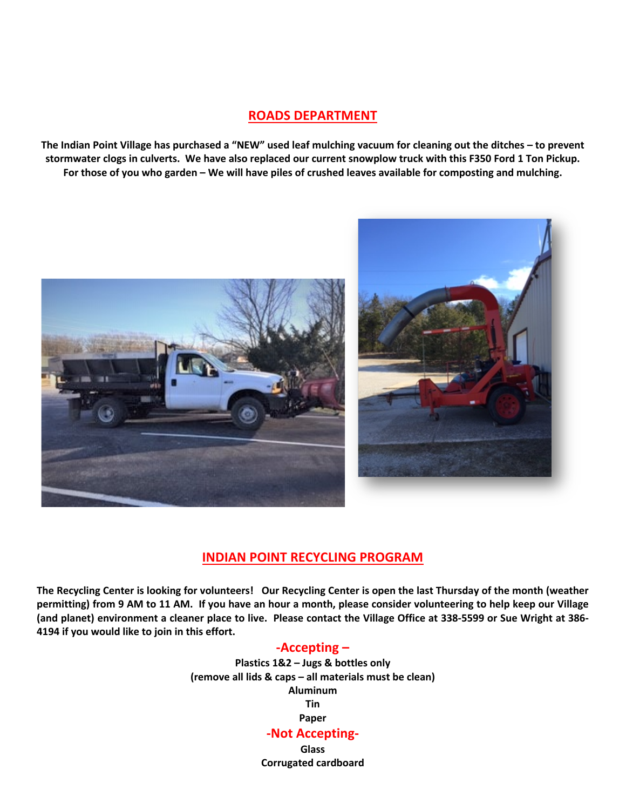#### **ROADS DEPARTMENT**

**The Indian Point Village has purchased a "NEW" used leaf mulching vacuum for cleaning out the ditches – to prevent stormwater clogs in culverts. We have also replaced our current snowplow truck with this F350 Ford 1 Ton Pickup. For those of you who garden – We will have piles of crushed leaves available for composting and mulching.**



#### **INDIAN POINT RECYCLING PROGRAM**

**The Recycling Center is looking for volunteers! Our Recycling Center is open the last Thursday of the month (weather permitting) from 9 AM to 11 AM. If you have an hour a month, please consider volunteering to help keep our Village (and planet) environment a cleaner place to live. Please contact the Village Office at 338-5599 or Sue Wright at 386- 4194 if you would like to join in this effort.**

#### **-Accepting –**

**Plastics 1&2 – Jugs & bottles only (remove all lids & caps – all materials must be clean) Aluminum Tin Paper -Not Accepting-**

**Glass Corrugated cardboard**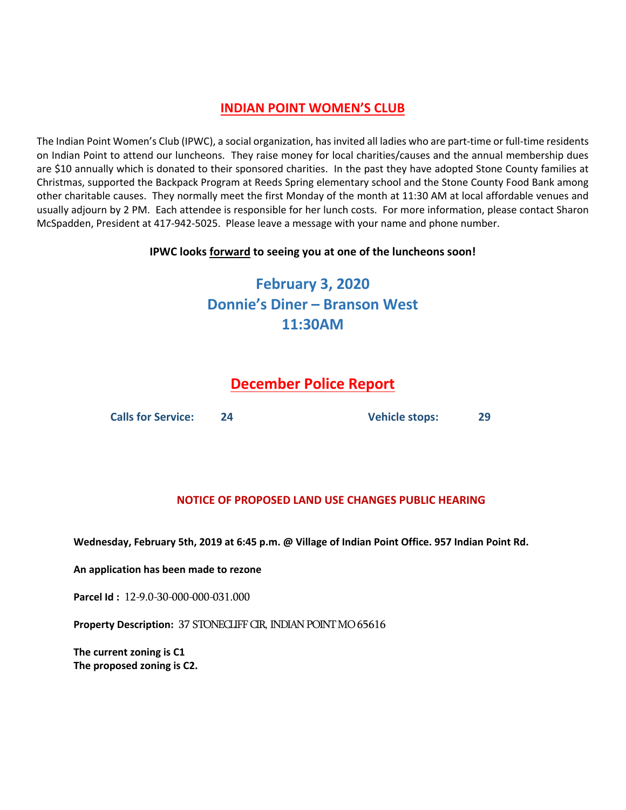## **INDIAN POINT WOMEN'S CLUB**

The Indian Point Women's Club (IPWC), a social organization, has invited all ladies who are part-time or full-time residents on Indian Point to attend our luncheons. They raise money for local charities/causes and the annual membership dues are \$10 annually which is donated to their sponsored charities. In the past they have adopted Stone County families at Christmas, supported the Backpack Program at Reeds Spring elementary school and the Stone County Food Bank among other charitable causes. They normally meet the first Monday of the month at 11:30 AM at local affordable venues and usually adjourn by 2 PM. Each attendee is responsible for her lunch costs. For more information, please contact Sharon McSpadden, President at 417-942-5025. Please leave a message with your name and phone number.

#### **IPWC looks forward to seeing you at one of the luncheons soon!**

# **February 3, 2020 Donnie's Diner – Branson West 11:30AM**

# **December Police Report**

**Calls for Service: 24 Vehicle stops: 29**

#### **NOTICE OF PROPOSED LAND USE CHANGES PUBLIC HEARING**

**Wednesday, February 5th, 2019 at 6:45 p.m. @ Village of Indian Point Office. 957 Indian Point Rd.**

**An application has been made to rezone** 

**Parcel Id :** 12-9.0-30-000-000-031.000

**Property Description:** 37 STONECLIFF CIR, INDIAN POINT MO 65616

**The current zoning is C1 The proposed zoning is C2.**